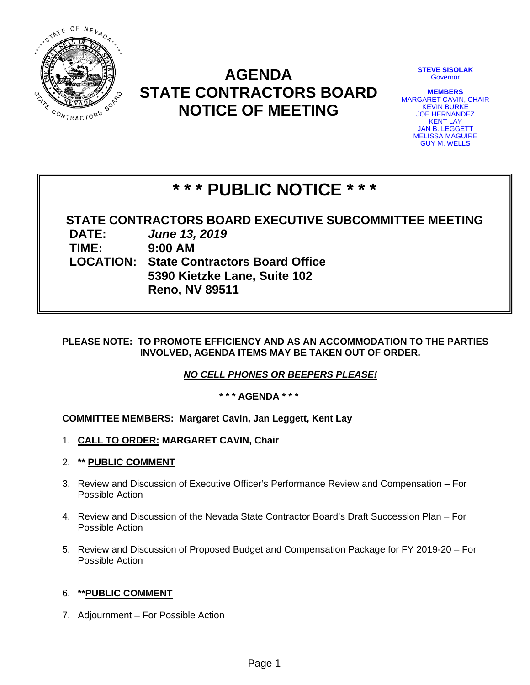

# **AGENDA STATE CONTRACTORS BOARD NOTICE OF MEETING**

**STEVE SISOLAK Governor** 

**MEMBERS**  MARGARET CAVIN, CHAIR KEVIN BURKE JOE HERNANDEZ KENT LAY JAN B. LEGGETT MELISSA MAGUIRE GUY M. WELLS

# **\* \* \* PUBLIC NOTICE \* \* \***

**STATE CONTRACTORS BOARD EXECUTIVE SUBCOMMITTEE MEETING DATE:** *June 13, 2019*  **TIME: 9:00 AM LOCATION: State Contractors Board Office 5390 Kietzke Lane, Suite 102 Reno, NV 89511** 

### **PLEASE NOTE: TO PROMOTE EFFICIENCY AND AS AN ACCOMMODATION TO THE PARTIES INVOLVED, AGENDA ITEMS MAY BE TAKEN OUT OF ORDER.**

*NO CELL PHONES OR BEEPERS PLEASE!* 

**\* \* \* AGENDA \* \* \***

# **COMMITTEE MEMBERS: Margaret Cavin, Jan Leggett, Kent Lay**

- 1. **CALL TO ORDER: MARGARET CAVIN, Chair**
- 2. **\*\* PUBLIC COMMENT**
- 3. Review and Discussion of Executive Officer's Performance Review and Compensation For Possible Action
- 4. Review and Discussion of the Nevada State Contractor Board's Draft Succession Plan For Possible Action
- 5. Review and Discussion of Proposed Budget and Compensation Package for FY 2019-20 For Possible Action

## 6. **\*\*PUBLIC COMMENT**

7. Adjournment – For Possible Action